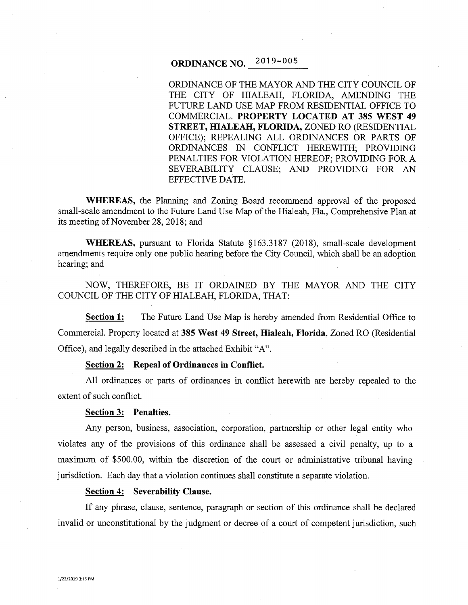# **ORDINANCE NO.** 2019-005

ORDINANCE OF THE MAYOR AND THE CITY COUNCIL OF THE CITY OF HIALEAH, FLORIDA, AMENDING THE FUTURE LAND USE MAP FROM RESIDENTIAL OFFICE TO COMMERCIAL. **PROPERTY LOCATED AT 385 WEST 49 STREET, HIALEAH, FLORIDA,** ZONED RO (RESIDENTIAL OFFICE); REPEALING ALL ORDINANCES OR PARTS OF ORDINANCES IN CONFLICT HEREWITH; PROVIDING PENALTIES FOR VIOLATION HEREOF; PROVIDING FOR A SEVERABILITY CLAUSE; AND PROVIDING FOR AN EFFECTIVE DATE.

**WHEREAS,** the Planning and Zoning Board recommend approval of the proposed small-scale amendment to the Future Land Use Map of the Hialeah, Fla., Comprehensive Plan at its meeting of November 28, 2018; and

**WHEREAS,** pursuant to Florida Statute §163.3187 (2018), small-scale development amendments require only one public hearing before the City Council, which shall be an adoption hearing; and

NOW, THEREFORE, BE IT ORDAINED BY THE MAYOR AND THE CITY COUNCIL OF THE CITY OF HIALEAH, FLORIDA, THAT:

**Section 1:** The Future Land Use Map is hereby amended from Residential Office to Commercial. Property located at **385 West 49 Street, Hialeah, Florida,** Zoned RO (Residential Office), and legally described in the attached Exhibit "A".

# **Section 2: Repeal of Ordinances in Conflict.**

All ordinances or parts of ordinances in conflict herewith are hereby repealed to the extent of such conflict.

#### **Section 3: Penalties.**

Any person, business, association, corporation, partnership or other legal entity who violates any of the provisions of this ordinance shall be assessed a civil penalty, up to a maximum of \$500.00, within the discretion of the court or administrative tribunal having jurisdiction. Each day that a violation continues shall constitute a separate violation.

## **Section 4: Severability Clause.**

If any phrase, clause, sentence, paragraph or section of this ordinance shall be declared invalid or unconstitutional by the judgment or decree of a court of competent jurisdiction, such